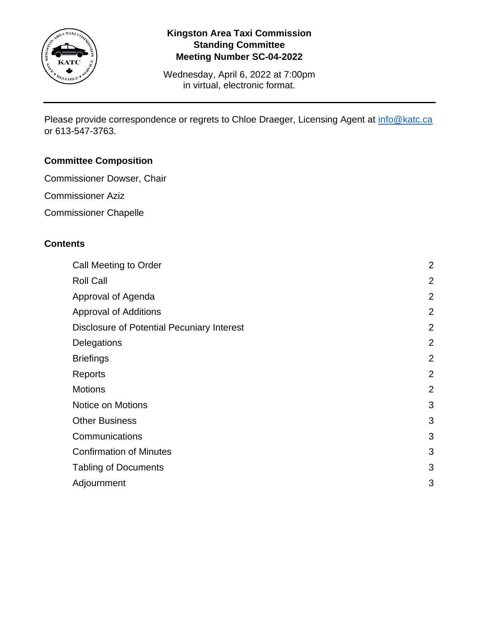

Wednesday, April 6, 2022 at 7:00pm in virtual, electronic format.

Please provide correspondence or regrets to Chloe Draeger, Licensing Agent at [info@katc.ca](mailto:info@katc.ca) or 613-547-3763.

# **Committee Composition**

- Commissioner Dowser, Chair
- Commissioner Aziz
- Commissioner Chapelle

## **Contents**

| Call Meeting to Order                             | $\overline{2}$ |
|---------------------------------------------------|----------------|
| <b>Roll Call</b>                                  | $\overline{2}$ |
| Approval of Agenda                                | $\overline{2}$ |
| <b>Approval of Additions</b>                      | $\overline{2}$ |
| <b>Disclosure of Potential Pecuniary Interest</b> | $\overline{2}$ |
| Delegations                                       | $\overline{2}$ |
| <b>Briefings</b>                                  | $\overline{2}$ |
| Reports                                           | $\overline{2}$ |
| <b>Motions</b>                                    | $\overline{2}$ |
| Notice on Motions                                 | 3              |
| <b>Other Business</b>                             | 3              |
| Communications                                    | 3              |
| <b>Confirmation of Minutes</b>                    | 3              |
| <b>Tabling of Documents</b>                       | 3              |
| Adjournment                                       | 3              |
|                                                   |                |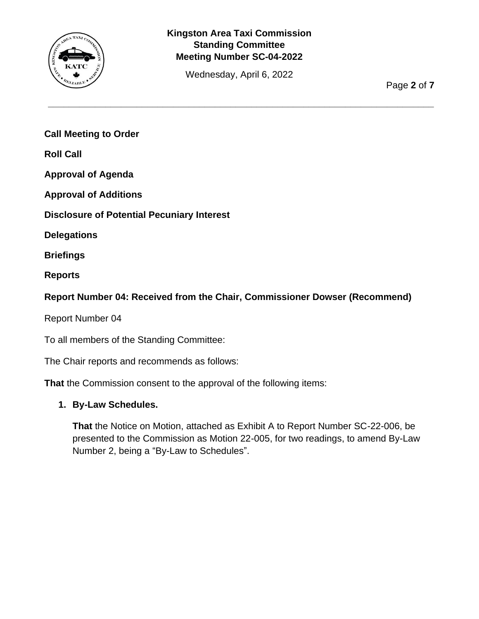

Wednesday, April 6, 2022

**\_\_\_\_\_\_\_\_\_\_\_\_\_\_\_\_\_\_\_\_\_\_\_\_\_\_\_\_\_\_\_\_\_\_\_\_\_\_\_\_\_\_\_\_\_\_\_\_\_\_\_\_\_\_\_\_\_\_\_\_\_\_\_\_\_\_\_\_\_\_\_\_\_\_**

Page **2** of **7**

<span id="page-1-0"></span>**Call Meeting to Order**

<span id="page-1-1"></span>**Roll Call**

<span id="page-1-2"></span>**Approval of Agenda**

<span id="page-1-3"></span>**Approval of Additions**

<span id="page-1-4"></span>**Disclosure of Potential Pecuniary Interest**

<span id="page-1-5"></span>**Delegations**

<span id="page-1-6"></span>**Briefings**

<span id="page-1-7"></span>**Reports**

### **Report Number 04: Received from the Chair, Commissioner Dowser (Recommend)**

Report Number 04

To all members of the Standing Committee:

The Chair reports and recommends as follows:

**That** the Commission consent to the approval of the following items:

#### <span id="page-1-8"></span>**1. By-Law Schedules.**

**That** the Notice on Motion, attached as Exhibit A to Report Number SC-22-006, be presented to the Commission as Motion 22-005, for two readings, to amend By-Law Number 2, being a "By-Law to Schedules".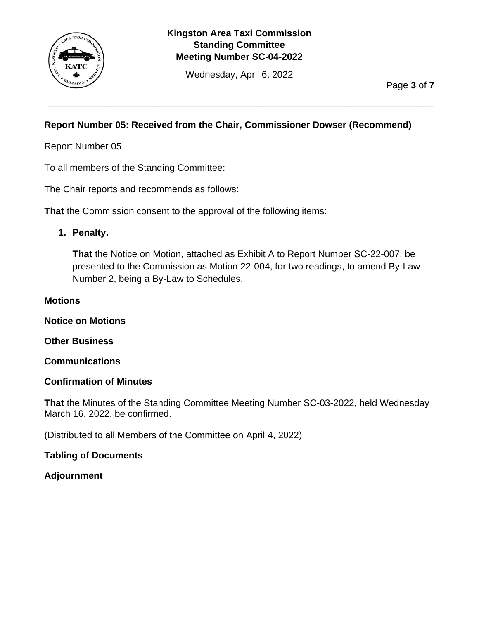

Wednesday, April 6, 2022

**\_\_\_\_\_\_\_\_\_\_\_\_\_\_\_\_\_\_\_\_\_\_\_\_\_\_\_\_\_\_\_\_\_\_\_\_\_\_\_\_\_\_\_\_\_\_\_\_\_\_\_\_\_\_\_\_\_\_\_\_\_\_\_\_\_\_\_\_\_\_\_\_\_\_**

Page **3** of **7**

# **Report Number 05: Received from the Chair, Commissioner Dowser (Recommend)**

Report Number 05

To all members of the Standing Committee:

The Chair reports and recommends as follows:

**That** the Commission consent to the approval of the following items:

# **1. Penalty.**

**That** the Notice on Motion, attached as Exhibit A to Report Number SC-22-007, be presented to the Commission as Motion 22-004, for two readings, to amend By-Law Number 2, being a By-Law to Schedules.

#### **Motions**

<span id="page-2-0"></span>**Notice on Motions**

<span id="page-2-1"></span>**Other Business**

<span id="page-2-2"></span>**Communications**

### <span id="page-2-3"></span>**Confirmation of Minutes**

**That** the Minutes of the Standing Committee Meeting Number SC-03-2022, held Wednesday March 16, 2022, be confirmed.

(Distributed to all Members of the Committee on April 4, 2022)

### <span id="page-2-4"></span>**Tabling of Documents**

### <span id="page-2-5"></span>**Adjournment**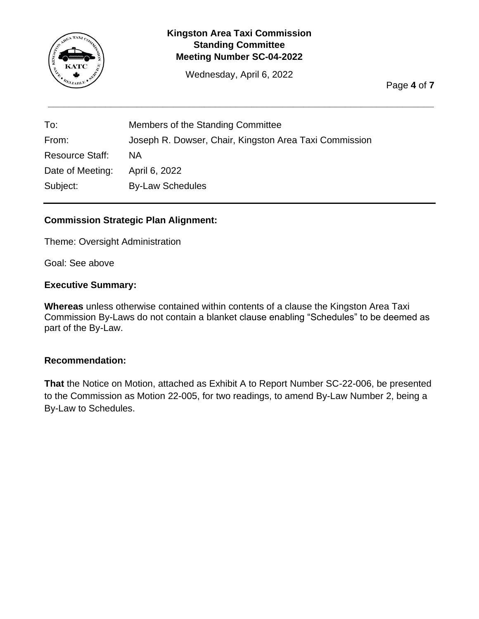

Wednesday, April 6, 2022

**\_\_\_\_\_\_\_\_\_\_\_\_\_\_\_\_\_\_\_\_\_\_\_\_\_\_\_\_\_\_\_\_\_\_\_\_\_\_\_\_\_\_\_\_\_\_\_\_\_\_\_\_\_\_\_\_\_\_\_\_\_\_\_\_\_\_\_\_\_\_\_\_\_\_**

Page **4** of **7**

| To:                    | Members of the Standing Committee                      |
|------------------------|--------------------------------------------------------|
| From:                  | Joseph R. Dowser, Chair, Kingston Area Taxi Commission |
| <b>Resource Staff:</b> | ΝA                                                     |
| Date of Meeting:       | April 6, 2022                                          |
| Subject:               | <b>By-Law Schedules</b>                                |

# **Commission Strategic Plan Alignment:**

Theme: Oversight Administration

Goal: See above

#### **Executive Summary:**

**Whereas** unless otherwise contained within contents of a clause the Kingston Area Taxi Commission By-Laws do not contain a blanket clause enabling "Schedules" to be deemed as part of the By-Law.

#### **Recommendation:**

**That** the Notice on Motion, attached as Exhibit A to Report Number SC-22-006, be presented to the Commission as Motion 22-005, for two readings, to amend By-Law Number 2, being a By-Law to Schedules.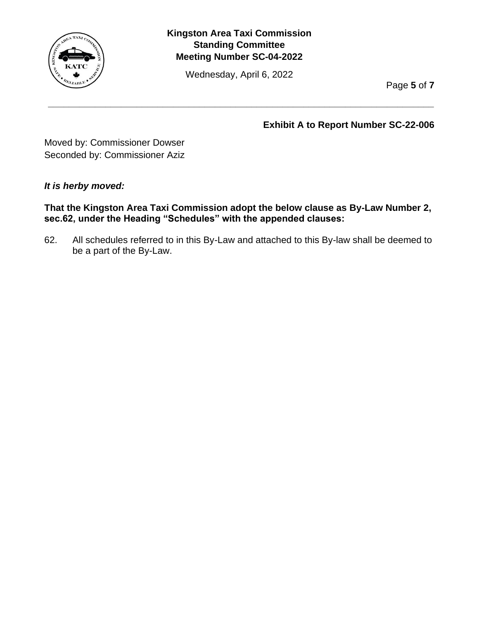

Wednesday, April 6, 2022

**\_\_\_\_\_\_\_\_\_\_\_\_\_\_\_\_\_\_\_\_\_\_\_\_\_\_\_\_\_\_\_\_\_\_\_\_\_\_\_\_\_\_\_\_\_\_\_\_\_\_\_\_\_\_\_\_\_\_\_\_\_\_\_\_\_\_\_\_\_\_\_\_\_\_**

Page **5** of **7**

**Exhibit A to Report Number SC-22-006**

Moved by: Commissioner Dowser Seconded by: Commissioner Aziz

### *It is herby moved:*

**That the Kingston Area Taxi Commission adopt the below clause as By-Law Number 2, sec.62, under the Heading "Schedules" with the appended clauses:**

62. All schedules referred to in this By-Law and attached to this By-law shall be deemed to be a part of the By-Law.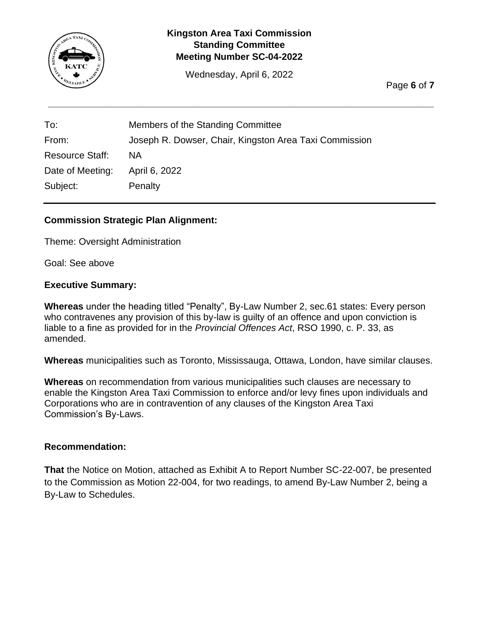

Wednesday, April 6, 2022

**\_\_\_\_\_\_\_\_\_\_\_\_\_\_\_\_\_\_\_\_\_\_\_\_\_\_\_\_\_\_\_\_\_\_\_\_\_\_\_\_\_\_\_\_\_\_\_\_\_\_\_\_\_\_\_\_\_\_\_\_\_\_\_\_\_\_\_\_\_\_\_\_\_\_**

Page **6** of **7**

| To:                    | Members of the Standing Committee                      |
|------------------------|--------------------------------------------------------|
| From:                  | Joseph R. Dowser, Chair, Kingston Area Taxi Commission |
| <b>Resource Staff:</b> | ΝA                                                     |
| Date of Meeting:       | April 6, 2022                                          |
| Subject:               | Penalty                                                |

# **Commission Strategic Plan Alignment:**

Theme: Oversight Administration

Goal: See above

#### **Executive Summary:**

**Whereas** under the heading titled "Penalty", By-Law Number 2, sec.61 states: Every person who contravenes any provision of this by-law is guilty of an offence and upon conviction is liable to a fine as provided for in the *Provincial Offences Act*, RSO 1990, c. P. 33, as amended.

**Whereas** municipalities such as Toronto, Mississauga, Ottawa, London, have similar clauses.

**Whereas** on recommendation from various municipalities such clauses are necessary to enable the Kingston Area Taxi Commission to enforce and/or levy fines upon individuals and Corporations who are in contravention of any clauses of the Kingston Area Taxi Commission's By-Laws.

#### **Recommendation:**

**That** the Notice on Motion, attached as Exhibit A to Report Number SC-22-007, be presented to the Commission as Motion 22-004, for two readings, to amend By-Law Number 2, being a By-Law to Schedules.